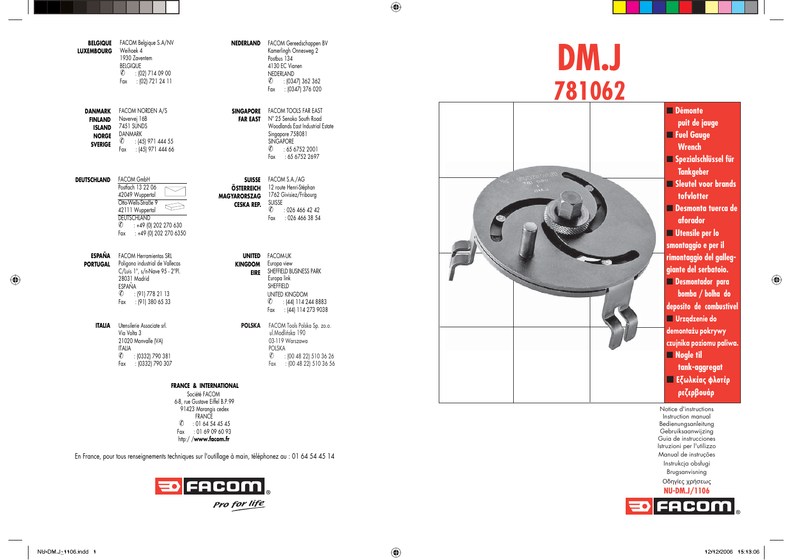| <b>BELGIQUE</b><br><b>LUXEMBOURG</b>                                         | FACOM Belgique S.A/NV<br>Weihoek 4<br>1930 Zaventem<br><b>BELGIQUE</b><br>$^{\circ}$<br>: (02) 714 09 00<br>: (02) 721 24 11<br>Fax |
|------------------------------------------------------------------------------|-------------------------------------------------------------------------------------------------------------------------------------|
| DANMARK<br><b>FINLAND</b><br><b>ISLAND</b><br><b>NORGE</b><br><b>SVERIGE</b> | <b>FACOM NORDEN A/S</b><br>Navervej 16B<br>7451 SUNDS<br>DANMARK<br>$^{\circ}$<br>: (45) 971 444 55<br>: (45) 971 444 66<br>Fax     |
| DEUTSCHLAND                                                                  | <b>FACOM GmbH</b><br>Postfach 13 22 06<br>42049 Wuppertal<br>Otto-Wells-Straße 9                                                    |

|         | Otto-Wells-Straße 9    |  |
|---------|------------------------|--|
|         | 42111 Wuppertal        |  |
|         | <b>DEUTSCHLAND</b>     |  |
| $\circ$ | : +49 (0) 202 270 630  |  |
| Fax     | : +49 (0) 202 270 6350 |  |

**ESPAÑA**FACOM Herramientas SRL **PORTUGAL** Poligono industrial de Vallecas C/Luis 1°, s/n-Nave 95 - 2°Pl. 28031 MadridESPAÑA $\overline{\textcircled{\textcirc}}}$  : (91) 778 21 13 Fax : (91) 380 65 33

> **ITALIA** Utensilerie Associate srl. Via Volta 3 21020 Monvalle (VA) ITALIA ✆ : (0332) 790 381 Fax : (0332) 790 307

## **FRANCE & INTERNATIONAL**

Société FACOM 6-8, rue Gustave Eiffel B.P.99 91423 Morangis cedex FRANCE $\binom{2}{1}$  : 01 64 54 45 45 Fax : 01 69 09 60 93 http:/ /**www.facom.fr**

En France, pour tous renseignements techniques sur l'outillage à main, téléphonez au : 01 64 54 45 14



**NEDERLAND** FACOM Gereedschappen BV Kamerlingh Onnesweg 2 Postbus 134 4130 EC Vianen**NEDERLAND**  ✆ : (0347) 362 362 Fax : (0347) 376 020

**SINGAPORE** FACOM TOOLS FAR EAST **FAR EAST** N° 25 Senoko South Road Woodlands East Industrial EstateSingapore 758081 SINGAPORE $\textcircled{c}$  : 65 6752 2001 Fax : 65 6752 2697

**SUISSE**FACOM S.A./AG **ÖSTERREICH** 12 route Henri-Stéphan **MAGYARORSZAG CESKA REP.**1762 Givisiez/Fribourg SUISSE $\textcircled{c}$  : 026 466 42 42 Fax : 026 466 38 54

> **UNITED**FACOM-UK**KINGDOM** Europa view **EIRE** SHEFFIELD BUSINESS PARK UNITED KINGDOM ✆ : (44) 114 244 8883 Fax : (44) 114 273 9038 Europa link **SHEFFIELD**

**POLSKA** FACOM Tools Polska Sp. zo.o. ul.Modlińska 190 03-119 WarszawaPOLSKA ✆ : (00 48 22) 510 36 26 Fax : (00 48 22) 510 36 56

## **DM.J 781062**



Notice d'instructions Instruction manual Bedienungsanleitung Gebruiksaanwijzing Guia de instruccionesIstruzioni per l'utilizzo Manual de instruções Instrukcja obsługi Brugsanvisning Oδηγίες χρήσεως **NU-DM.J/1106** o FACOM

 $\bigoplus$ 

NU-DM.J\_1106.indd 1 U-DM.J\_1106.indd 12/12/2006 15:13:06 2/12/2006

 $\bigoplus$ 

 $\bigoplus$